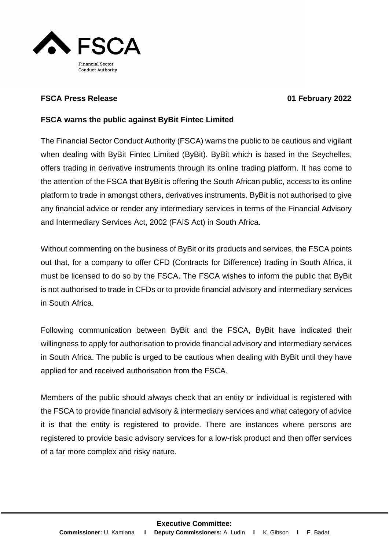

## **FSCA Press Release 01 February 2022**

## **FSCA warns the public against ByBit Fintec Limited**

The Financial Sector Conduct Authority (FSCA) warns the public to be cautious and vigilant when dealing with ByBit Fintec Limited (ByBit). ByBit which is based in the Seychelles, offers trading in derivative instruments through its online trading platform. It has come to the attention of the FSCA that ByBit is offering the South African public, access to its online platform to trade in amongst others, derivatives instruments. ByBit is not authorised to give any financial advice or render any intermediary services in terms of the Financial Advisory and Intermediary Services Act, 2002 (FAIS Act) in South Africa.

Without commenting on the business of ByBit or its products and services, the FSCA points out that, for a company to offer CFD (Contracts for Difference) trading in South Africa, it must be licensed to do so by the FSCA. The FSCA wishes to inform the public that ByBit is not authorised to trade in CFDs or to provide financial advisory and intermediary services in South Africa.

Following communication between ByBit and the FSCA, ByBit have indicated their willingness to apply for authorisation to provide financial advisory and intermediary services in South Africa. The public is urged to be cautious when dealing with ByBit until they have applied for and received authorisation from the FSCA.

Members of the public should always check that an entity or individual is registered with the FSCA to provide financial advisory & intermediary services and what category of advice it is that the entity is registered to provide. There are instances where persons are registered to provide basic advisory services for a low-risk product and then offer services of a far more complex and risky nature.